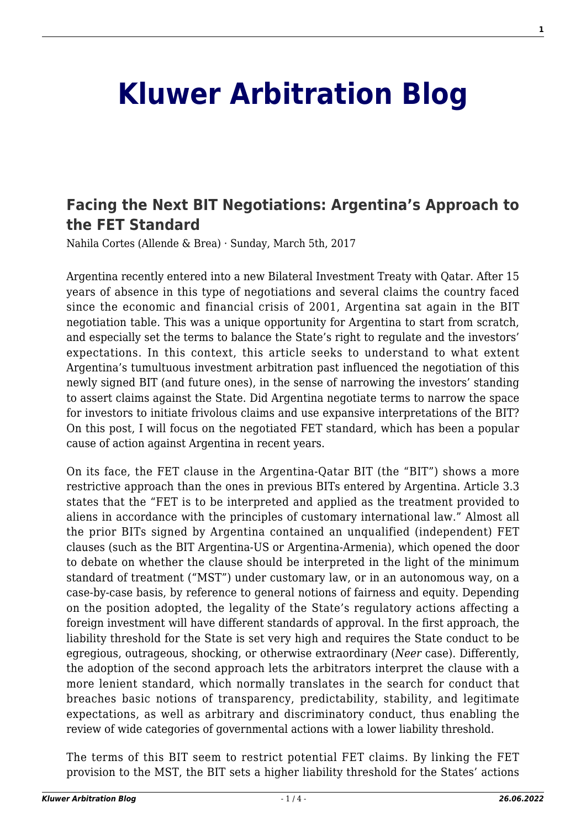## **[Kluwer Arbitration Blog](http://arbitrationblog.kluwerarbitration.com/)**

## **[Facing the Next BIT Negotiations: Argentina's Approach to](http://arbitrationblog.kluwerarbitration.com/2017/03/05/facing-the-next-bit-negotiations-argentinas-approach-to-the-fet-standard/) [the FET Standard](http://arbitrationblog.kluwerarbitration.com/2017/03/05/facing-the-next-bit-negotiations-argentinas-approach-to-the-fet-standard/)**

Nahila Cortes (Allende & Brea) · Sunday, March 5th, 2017

Argentina recently entered into a new Bilateral Investment Treaty with Qatar. After 15 years of absence in this type of negotiations and several claims the country faced since the economic and financial crisis of 2001, Argentina sat again in the BIT negotiation table. This was a unique opportunity for Argentina to start from scratch, and especially set the terms to balance the State's right to regulate and the investors' expectations. In this context, this article seeks to understand to what extent Argentina's tumultuous investment arbitration past influenced the negotiation of this newly signed BIT (and future ones), in the sense of narrowing the investors' standing to assert claims against the State. Did Argentina negotiate terms to narrow the space for investors to initiate frivolous claims and use expansive interpretations of the BIT? On this post, I will focus on the negotiated FET standard, which has been a popular cause of action against Argentina in recent years.

On its face, the FET clause in the Argentina-Qatar BIT (the "BIT") shows a more restrictive approach than the ones in previous BITs entered by Argentina. Article 3.3 states that the "FET is to be interpreted and applied as the treatment provided to aliens in accordance with the principles of customary international law." Almost all the prior BITs signed by Argentina contained an unqualified (independent) FET clauses (such as the BIT Argentina-US or Argentina-Armenia), which opened the door to debate on whether the clause should be interpreted in the light of the minimum standard of treatment ("MST") under customary law, or in an autonomous way, on a case-by-case basis, by reference to general notions of fairness and equity. Depending on the position adopted, the legality of the State's regulatory actions affecting a foreign investment will have different standards of approval. In the first approach, the liability threshold for the State is set very high and requires the State conduct to be egregious, outrageous, shocking, or otherwise extraordinary (*Neer* case). Differently, the adoption of the second approach lets the arbitrators interpret the clause with a more lenient standard, which normally translates in the search for conduct that breaches basic notions of transparency, predictability, stability, and legitimate expectations, as well as arbitrary and discriminatory conduct, thus enabling the review of wide categories of governmental actions with a lower liability threshold.

The terms of this BIT seem to restrict potential FET claims. By linking the FET provision to the MST, the BIT sets a higher liability threshold for the States' actions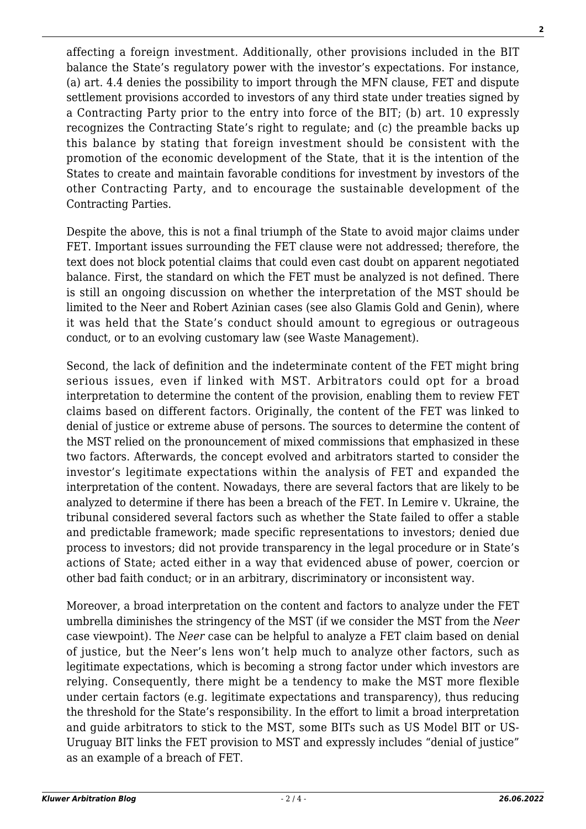affecting a foreign investment. Additionally, other provisions included in the BIT balance the State's regulatory power with the investor's expectations. For instance, (a) art. 4.4 denies the possibility to import through the MFN clause, FET and dispute settlement provisions accorded to investors of any third state under treaties signed by a Contracting Party prior to the entry into force of the BIT; (b) art. 10 expressly recognizes the Contracting State's right to regulate; and (c) the preamble backs up this balance by stating that foreign investment should be consistent with the promotion of the economic development of the State, that it is the intention of the States to create and maintain favorable conditions for investment by investors of the other Contracting Party, and to encourage the sustainable development of the Contracting Parties.

Despite the above, this is not a final triumph of the State to avoid major claims under FET. Important issues surrounding the FET clause were not addressed; therefore, the text does not block potential claims that could even cast doubt on apparent negotiated balance. First, the standard on which the FET must be analyzed is not defined. There is still an ongoing discussion on whether the interpretation of the MST should be limited to the Neer and Robert Azinian cases (see also Glamis Gold and Genin), where it was held that the State's conduct should amount to egregious or outrageous conduct, or to an evolving customary law (see Waste Management).

Second, the lack of definition and the indeterminate content of the FET might bring serious issues, even if linked with MST. Arbitrators could opt for a broad interpretation to determine the content of the provision, enabling them to review FET claims based on different factors. Originally, the content of the FET was linked to denial of justice or extreme abuse of persons. The sources to determine the content of the MST relied on the pronouncement of mixed commissions that emphasized in these two factors. Afterwards, the concept evolved and arbitrators started to consider the investor's legitimate expectations within the analysis of FET and expanded the interpretation of the content. Nowadays, there are several factors that are likely to be analyzed to determine if there has been a breach of the FET. In Lemire v. Ukraine, the tribunal considered several factors such as whether the State failed to offer a stable and predictable framework; made specific representations to investors; denied due process to investors; did not provide transparency in the legal procedure or in State's actions of State; acted either in a way that evidenced abuse of power, coercion or other bad faith conduct; or in an arbitrary, discriminatory or inconsistent way.

Moreover, a broad interpretation on the content and factors to analyze under the FET umbrella diminishes the stringency of the MST (if we consider the MST from the *Neer* case viewpoint). The *Neer* case can be helpful to analyze a FET claim based on denial of justice, but the Neer's lens won't help much to analyze other factors, such as legitimate expectations, which is becoming a strong factor under which investors are relying. Consequently, there might be a tendency to make the MST more flexible under certain factors (e.g. legitimate expectations and transparency), thus reducing the threshold for the State's responsibility. In the effort to limit a broad interpretation and guide arbitrators to stick to the MST, some BITs such as US Model BIT or US-Uruguay BIT links the FET provision to MST and expressly includes "denial of justice" as an example of a breach of FET.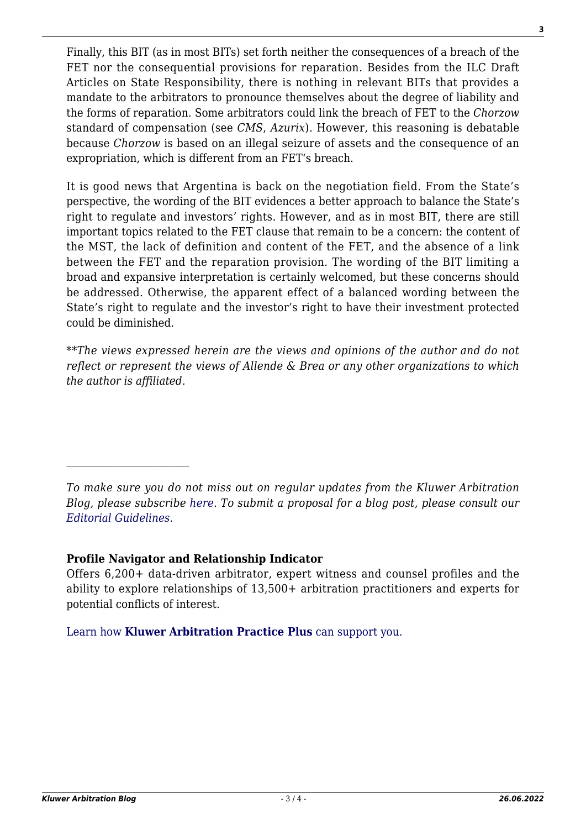Finally, this BIT (as in most BITs) set forth neither the consequences of a breach of the FET nor the consequential provisions for reparation. Besides from the ILC Draft Articles on State Responsibility, there is nothing in relevant BITs that provides a mandate to the arbitrators to pronounce themselves about the degree of liability and the forms of reparation. Some arbitrators could link the breach of FET to the *Chorzow* standard of compensation (see *CMS*, *Azurix*). However, this reasoning is debatable because *Chorzow* is based on an illegal seizure of assets and the consequence of an expropriation, which is different from an FET's breach.

It is good news that Argentina is back on the negotiation field. From the State's perspective, the wording of the BIT evidences a better approach to balance the State's right to regulate and investors' rights. However, and as in most BIT, there are still important topics related to the FET clause that remain to be a concern: the content of the MST, the lack of definition and content of the FET, and the absence of a link between the FET and the reparation provision. The wording of the BIT limiting a broad and expansive interpretation is certainly welcomed, but these concerns should be addressed. Otherwise, the apparent effect of a balanced wording between the State's right to regulate and the investor's right to have their investment protected could be diminished.

\*\**The views expressed herein are the views and opinions of the author and do not reflect or represent the views of Allende & Brea or any other organizations to which the author is affiliated.*

## **Profile Navigator and Relationship Indicator**

Offers 6,200+ data-driven arbitrator, expert witness and counsel profiles and the ability to explore relationships of 13,500+ arbitration practitioners and experts for potential conflicts of interest.

[Learn how](https://www.wolterskluwer.com/en/solutions/kluwerarbitration/practiceplus?utm_source=arbitrationblog&utm_medium=articleCTA&utm_campaign=article-banner) **[Kluwer Arbitration Practice Plus](https://www.wolterskluwer.com/en/solutions/kluwerarbitration/practiceplus?utm_source=arbitrationblog&utm_medium=articleCTA&utm_campaign=article-banner)** [can support you.](https://www.wolterskluwer.com/en/solutions/kluwerarbitration/practiceplus?utm_source=arbitrationblog&utm_medium=articleCTA&utm_campaign=article-banner)

*To make sure you do not miss out on regular updates from the Kluwer Arbitration Blog, please subscribe [here](http://arbitrationblog.kluwerarbitration.com/newsletter/). To submit a proposal for a blog post, please consult our [Editorial Guidelines.](http://arbitrationblog.kluwerarbitration.com/editorial-guidelines/)*